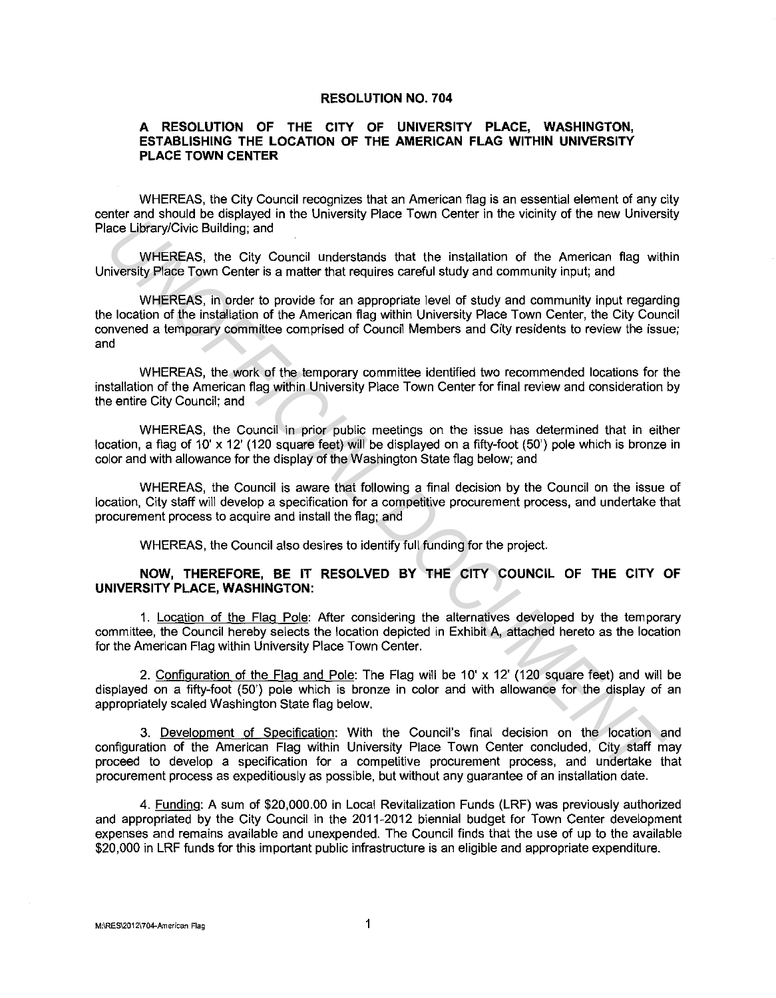## **RESOLUTION NO. 704**

## **A RESOLUTION OF THE CITY OF UNIVERSITY PLACE, WASHINGTON, ESTABLISHING THE LOCATION OF THE AMERICAN FLAG WITHIN UNIVERSITY PLACE TOWN CENTER**

WHEREAS, the City Council recognizes that an American flag is an essential element of any city center and should be displayed in the University Place Town Center in the vicinity of the new University Place Library/Civic Building; and

WHEREAS, the City Council understands that the installation of the American flag within University Place Town Center is a matter that requires careful study and community input; and

WHEREAS, in order to provide for an appropriate level of study and community input regarding the location of the installation of the American flag within University Place Town Center, the City Council convened a temporary committee comprised of Council Members and City residents to review the issue; and acceleration of the Installation of the American First and WHEREAS, the Club Control of the American Rap with the Club Control of the American Rap with the Club Control of the American Rap with the Club Control of the Amer

WHEREAS, the work of the temporary committee identified two recommended locations for the installation of the American flag within University Place Town Center for final review and consideration by the entire City Council; and

WHEREAS, the Council in prior public meetings on the issue has determined that in either location, a flag of 10' x 12' (120 square feet) will be displayed on a fifty-foot (50') pole which is bronze in color and with allowance for the display of the Washington State flag below; and

WHEREAS, the Council is aware that following a final decision by the Council on the issue of location, City staff will develop a specification for a competitive procurement process, and undertake that procurement process to acquire and install the flag; and

WHEREAS, the Council also desires to identify full funding for the project.

## **NOW, THEREFORE, BE IT RESOLVED BY THE CITY COUNCIL OF THE CITY OF UNIVERSITY PLACE, WASHINGTON:**

1. Location of the Flag Pole: After considering the alternatives developed by the temporary committee, the Council hereby selects the location depicted in Exhibit A, attached hereto as the location for the American Flag within University Place Town Center.

2. Configuration of the Flag and Pole: The Flag will be 10' x 12' (120 square feet) and will be displayed on a fifty-foot (50') pole which is bronze in color and with allowance for the display of an appropriately scaled Washington State flag below.

3. Development of Specification: With the Council's final decision on the location and configuration of the American Flag within University Place Town Center concluded, City staff may proceed to develop a specification for a competitive procurement process, and undertake that procurement process as expeditiously as possible, but without any guarantee of an installation date.

4. Funding: A sum of \$20,000.00 in Local Revitalization Funds (LRF) was previously authorized and appropriated by the City Council in the 2011-2012 biennial budget for Town Center development expenses and remains available and unexpended. The Council finds that the use of up to the available \$20,000 in LRF funds for this important public infrastructure is an eligible and appropriate expenditure.

**M:\RES\2012\704-American Flag** 1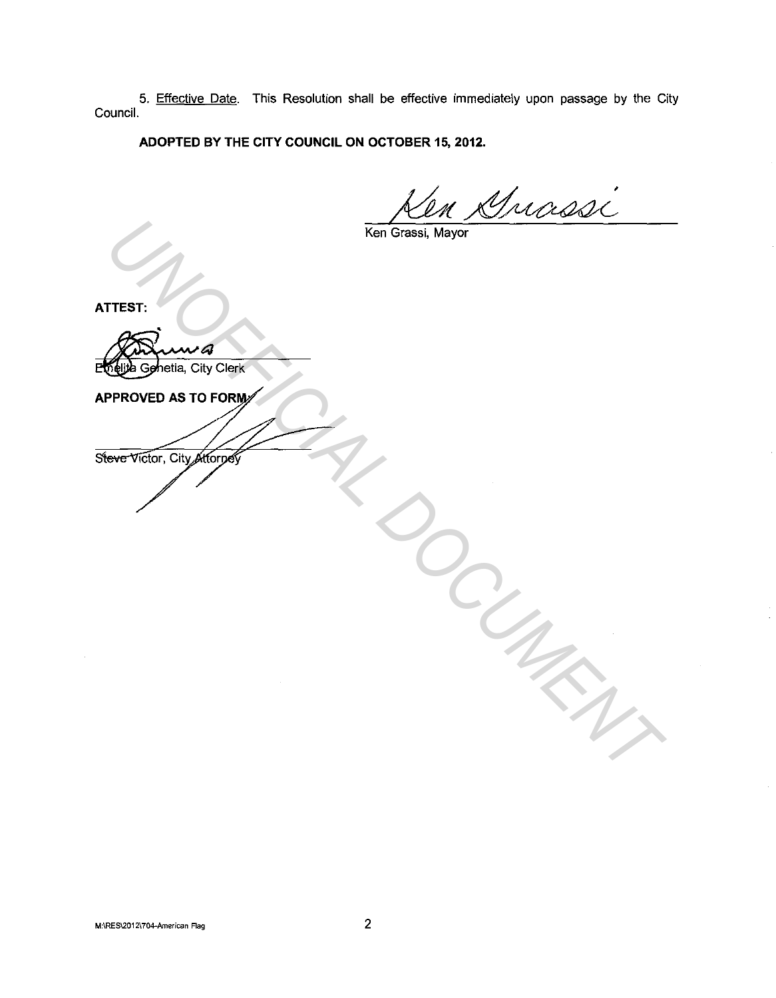5. Effective Date. This Resolution shall be effective immediately upon passage by the City Council.

**ADOPTED BY THE CITY COUNCIL ON OCTOBER 15, 2012.** 

Ken Grassi, Mayor

**ATTEST:** 

Emelita Genetia, City Clerk TEST:<br>
THEST:<br>
THE CONTROLLY CONTROLLY<br>
PROVED AS TO FORM<br>
WHO WE ON CONTROLLY CONTROLLY<br>
WHO WE ON CONTROLLY CONTROLLY CONTROLLY CONTROLLY CONTROLLY CONTROLLY CONTROLLY CONTROLLY CONTROLLY